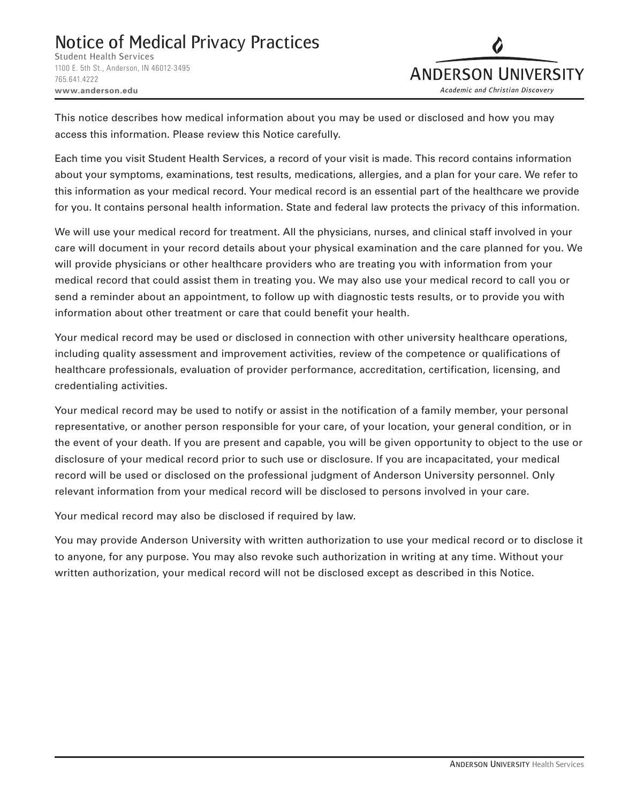## Notice of Medical Privacy Practices

Student Health Services 1100 E. 5th St., Anderson, IN 46012-3495 765.641.4222 **www.anderson.edu**



This notice describes how medical information about you may be used or disclosed and how you may access this information. Please review this Notice carefully.

Each time you visit Student Health Services, a record of your visit is made. This record contains information about your symptoms, examinations, test results, medications, allergies, and a plan for your care. We refer to this information as your medical record. Your medical record is an essential part of the healthcare we provide for you. It contains personal health information. State and federal law protects the privacy of this information.

We will use your medical record for treatment. All the physicians, nurses, and clinical staff involved in your care will document in your record details about your physical examination and the care planned for you. We will provide physicians or other healthcare providers who are treating you with information from your medical record that could assist them in treating you. We may also use your medical record to call you or send a reminder about an appointment, to follow up with diagnostic tests results, or to provide you with information about other treatment or care that could benefit your health.

Your medical record may be used or disclosed in connection with other university healthcare operations, including quality assessment and improvement activities, review of the competence or qualifications of healthcare professionals, evaluation of provider performance, accreditation, certification, licensing, and credentialing activities.

Your medical record may be used to notify or assist in the notification of a family member, your personal representative, or another person responsible for your care, of your location, your general condition, or in the event of your death. If you are present and capable, you will be given opportunity to object to the use or disclosure of your medical record prior to such use or disclosure. If you are incapacitated, your medical record will be used or disclosed on the professional judgment of Anderson University personnel. Only relevant information from your medical record will be disclosed to persons involved in your care.

Your medical record may also be disclosed if required by law.

You may provide Anderson University with written authorization to use your medical record or to disclose it to anyone, for any purpose. You may also revoke such authorization in writing at any time. Without your written authorization, your medical record will not be disclosed except as described in this Notice.